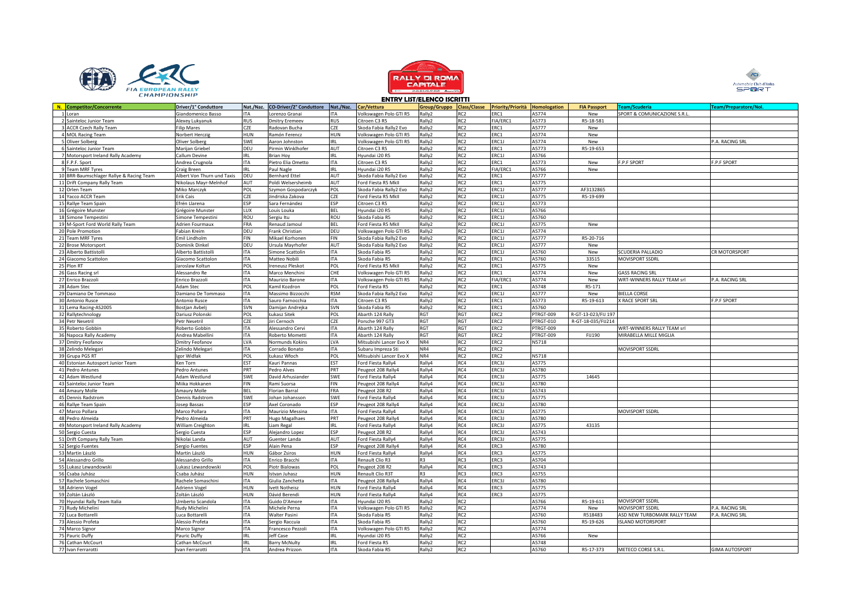





|                                          |                            |            |                                |            |                         | ENIRT LIJI/ELENCO IJCRITII |                 |                                |           |                     |                              |                              |
|------------------------------------------|----------------------------|------------|--------------------------------|------------|-------------------------|----------------------------|-----------------|--------------------------------|-----------|---------------------|------------------------------|------------------------------|
| N. Competitor/Concorrente                | Driver/1° Conduttore       | Nat./Naz.  | <b>CO-Driver/2° Conduttore</b> | Nat./Naz.  | Car/Vettura             | Group/Gruppo Class/Classe  |                 | Priority/Priorità Homologation |           | <b>FIA Passport</b> | <b>Team/Scuderia</b>         | <b>Team/Preparatore/Nol.</b> |
| 1 Loran                                  | Giandomenico Basso         | <b>ITA</b> | Lorenzo Granai                 | ITA        | Volkswagen Polo GTI R5  | Rally2                     | RC <sub>2</sub> | ERC1                           | A5774     | New                 | SPORT & COMUNICAZIONE S.R.L. |                              |
| 2 Sainteloc Junior Team                  | Alexey Lukyanuk            | <b>RUS</b> | <b>Dmitry Eremeev</b>          | <b>RUS</b> | Citroen C3 R5           | Rally2                     | RC <sub>2</sub> | FIA/ERC1                       | A5773     | R5-18-581           |                              |                              |
| 3 ACCR Czech Rally Team                  | <b>Filip Mares</b>         | CZE        | Radovan Bucha                  | CZE        | Skoda Fabia Rally2 Evo  |                            | RC <sub>2</sub> | ERC1                           | A5777     | New                 |                              |                              |
|                                          |                            |            |                                |            |                         | Rally2                     |                 |                                |           |                     |                              |                              |
| 4 MOL Racing Team                        | Norbert Herczig            | HUN        | Ramón Ferencz                  | <b>HUN</b> | Volkswagen Polo GTI R5  | Rally2                     | RC <sub>2</sub> | ERC1                           | A5774     | New                 |                              |                              |
| 5 Oliver Solberg                         | Oliver Solberg             | SWE        | Aaron Johnston                 | <b>IRL</b> | Volkswagen Polo GTI R5  | Rally2                     | RC <sub>2</sub> | ERC1J                          | A5774     | New                 |                              | P.A. RACING SRL              |
| 6 Sainteloc Junior Team                  | Marijan Griebel            | DEU        | Pirmin Winklhofer              | AUT        | Citroen C3 R5           | Rally2                     | RC <sub>2</sub> | RC1                            | A5773     | R5-19-653           |                              |                              |
| 7 Motorsport Ireland Rally Academy       | Callum Devine              | <b>IRL</b> | <b>Brian Hoy</b>               | <b>IRL</b> | Hyundai i20 R5          | Rally2                     | RC <sub>2</sub> | ERC1J                          | A5766     |                     |                              |                              |
| 8 F.P.F. Sport                           | Andrea Crugnola            | <b>ITA</b> | Pietro Elia Ometto             | <b>ITA</b> | Citroen C3 R5           | Rally2                     | RC <sub>2</sub> | ERC1                           | A5773     | New                 | F.P.F SPORT                  | F.P.F SPORT                  |
|                                          |                            |            |                                |            |                         |                            |                 |                                |           |                     |                              |                              |
| 9 Team MRF Tyres                         | Craig Breen                | IRL        | Paul Nagle                     | <b>IRL</b> | Hyundai i20 R5          | Rally2                     | RC <sub>2</sub> | FIA/ERC1                       | A5766     | New                 |                              |                              |
| 10 BRR-Baumschlager Rallye & Racing Team | Albert Von Thurn und Taxis | DEU        | <b>Bernhard Ettel</b>          | AUT        | Skoda Fabia Rally2 Evo  | Rally2                     | RC <sub>2</sub> | ERC1                           | A5777     |                     |                              |                              |
| 11 Drift Company Rally Team              | Nikolaus Mayr-Melnhof      | AUT        | Poldi Welsersheimb             | AUT        | Ford Fiesta R5 MkII     | Rally2                     | RC <sub>2</sub> | ERC1                           | A5775     |                     |                              |                              |
| 12 Orlen Team                            | Miko Marczyk               | POL        | Szymon Gospodarczyk            | POL        | Skoda Fabia Rally2 Evo  | Rally2                     | RC <sub>2</sub> | ERC1J                          | A5777     | AF3132865           |                              |                              |
| 14 Yacco ACCR Team                       | Erik Cais                  | CZE        | Jindriska Zakova               | CZE        | Ford Fiesta R5 MkII     | Rally2                     | RC <sub>2</sub> | ERC1J                          | A5775     | R5-19-699           |                              |                              |
| 15 Rallye Team Spain                     | Efrén Llarena              | ESP        | Sara Fernández                 | ESP        | Citroen C3 R5           |                            | RC <sub>2</sub> | ERC1J                          | A5773     |                     |                              |                              |
|                                          |                            |            |                                |            |                         | Rally2                     |                 |                                |           |                     |                              |                              |
| 16 Grégoire Munster                      | Grégoire Munster           | LUX        | Louis Louka                    | <b>BEL</b> | Hyundai i20 R5          | Rally2                     | RC <sub>2</sub> | ERC1J                          | A5766     |                     |                              |                              |
| 18 Simone Tempestini                     | Simone Tempestini          | ROU        | Sergiu Itu                     | ROU        | Skoda Fabia R5          | Rally2                     | RC <sub>2</sub> | ERC1J                          | A5760     |                     |                              |                              |
| 19 M-Sport Ford World Rally Team         | Adrien Fourmaux            | <b>FRA</b> | Renaud Jamoul                  | <b>BEL</b> | Ford Fiesta R5 MkII     | Rally2                     | RC <sub>2</sub> | ERC1J                          | A5775     | New                 |                              |                              |
| 20 Pole Promotion                        | Fabian Kreim               | DEU        | Frank Christian                | DEU        | Volkswagen Polo GTI R5  | Rally2                     | RC <sub>2</sub> | ERC1J                          | A5774     |                     |                              |                              |
| 21 Team MRF Tyres                        | Emil Lindholm              | FIN        | Mikael Korhonen                | FIN        | Skoda Fabia Rally2 Evo  | Rally2                     | RC <sub>2</sub> | ERC1J                          | A5777     | R5-20-716           |                              |                              |
|                                          |                            |            |                                |            |                         |                            |                 |                                |           |                     |                              |                              |
| 22 Brose Motorsport                      | Dominik Dinkel             | DEU        | Ursula Mayrhofer               | AUT        | Skoda Fabia Rally2 Evo  | Rally2                     | RC <sub>2</sub> | ERC1J                          | A5777     | New                 |                              |                              |
| 23 Alberto Battistoll                    | Alberto Battistoll         | <b>ITA</b> | Simone Scattolin               | <b>ITA</b> | Skoda Fabia R5          | Rally2                     | RC <sub>2</sub> | ERC1J                          | A5760     | New                 | SCUDERIA PALLADIO            | CR MOTORSPORT                |
| 24 Giacomo Scattolon                     | Giacomo Scattolon          | <b>ITA</b> | Matteo Nobili                  | <b>ITA</b> | Skoda Fabia R5          | Rally2                     | RC <sub>2</sub> | ERC1                           | A5760     | 33515               | MOVISPORT SSDRL              |                              |
| 25 Plon RT                               | Jaroslaw Koltun            | POL        | <b>Ireneusz Pleskot</b>        | POL        | Ford Fiesta R5 MkII     | Rally2                     | RC <sub>2</sub> | ERC1                           | A5775     | New                 |                              |                              |
| 26 Gass Racing srl                       | Alessandro Re              | <b>ITA</b> | Marco Menchini                 | CHE        | Volkswagen Polo GTI R5  | Rally2                     | RC <sub>2</sub> | ERC1                           | A5774     | New                 | <b>GASS RACING SRL</b>       |                              |
|                                          |                            |            |                                |            |                         |                            |                 |                                |           |                     |                              |                              |
| 27 Enrico Brazzoli                       | Enrico Brazzoli            | <b>ITA</b> | Maurizio Barone                | <b>ITA</b> | Volkswagen Polo GTI R5  | Rally2                     | RC <sub>2</sub> | FIA/ERC1                       | A5774     | New                 | WRT-WINNERS RALLY TEAM srl   | P.A. RACING SRL              |
| 28 Adam Stec                             | Adam Stec                  | POL        | Kamil Kozdron                  | POL        | Ford Fiesta R5          | Rally2                     | RC <sub>2</sub> | ERC1                           | A5748     | R5-171              |                              |                              |
| 29 Damiano De Tommaso                    | Damiano De Tommaso         | ITA        | Massimo Bizzocchi              | <b>RSM</b> | Skoda Fabia Rally2 Evo  | Rally2                     | RC <sub>2</sub> | ERC1J                          | A5777     | New                 | <b>BIELLA CORSE</b>          |                              |
| 30 Antonio Rusce                         | <b>Antonio Rusce</b>       | <b>ITA</b> | Sauro Farnocchia               | <b>ITA</b> | Citroen C3 R5           | Rally2                     | RC <sub>2</sub> | ERC1                           | A5773     | R5-19-613           | X RACE SPORT SRI             | <b>F.P.F SPORT</b>           |
| 31 Lema Racing-AS2005                    | Bostjan Avbelj             | SVN        | Damijan Andrejka               | SVN        | Skoda Fabia R5          | Rally2                     | RC <sub>2</sub> | ERC1                           | A5760     |                     |                              |                              |
|                                          |                            | POL        |                                | POL        |                         | RGT                        | RGT             | ERC2                           | PTRGT-009 |                     |                              |                              |
| 32 Rallytechnology                       | Dariusz Polonski           |            | Łukasz Sitek                   |            | Abarth 124 Rally        |                            |                 |                                |           | R-GT-13-023/FIJ 197 |                              |                              |
| 34 Petr Nesetril                         | Petr Nesetril              | CZE        | Jiri Cernoch                   | CZE        | Porsche 997 GT3         | RGT                        | RGT             | ERC <sub>2</sub>               | PTRGT-010 | R-GT-18-035/FIJ214  |                              |                              |
| 35 Roberto Gobbin                        | Roberto Gobbin             | <b>ITA</b> | Alessandro Cervi               | <b>ITA</b> | Abarth 124 Rally        | RGT                        | RGT             | ERC <sub>2</sub>               | PTRGT-009 |                     | WRT-WINNERS RALLY TEAM srl   |                              |
| 36 Napoca Rally Academy                  | Andrea Mabellini           | <b>ITA</b> | Roberto Mometti                | <b>ITA</b> | Abarth 124 Rally        | RGT                        | <b>RGT</b>      | ERC <sub>2</sub>               | PTRGT-009 | <b>FIJ190</b>       | MIRABELLA MILLE MIGLIA       |                              |
| 37 Dmitry Feofanov                       | Dmitry Feofanov            | LVA        | Normunds Kokins                | LVA        | Mitsubishi Lancer Evo X | NR4                        | RC <sub>2</sub> | ERC <sub>2</sub>               | N5718     |                     |                              |                              |
| 38 Zelindo Melegari                      | Zelindo Melegari           | <b>ITA</b> | Corrado Bonato                 | <b>ITA</b> | Subaru Impreza Sti      | NR4                        | RC <sub>2</sub> | ERC <sub>2</sub>               |           |                     | MOVISPORT SSDRL              |                              |
|                                          |                            |            |                                |            |                         |                            |                 |                                |           |                     |                              |                              |
| 39 Grupa PGS RT                          | gor Widłak                 | POL        | Łukasz Włoch                   | POL        | Mitsubishi Lancer Evo X | NR4                        | RC <sub>2</sub> | ERC <sub>2</sub>               | N5718     |                     |                              |                              |
| 40 Estonian Autosport Junior Team        | Ken Torn                   | EST        | Kauri Pannas                   | EST        | Ford Fiesta Rally4      | Rally4                     | RC4             | ERC3J                          | A5775     |                     |                              |                              |
| 41 Pedro Antunes                         | Pedro Antunes              | PRT        | Pedro Alves                    | PRT        | Peugeot 208 Rally4      | Rally4                     | RC4             | ERC3J                          | A5780     |                     |                              |                              |
| 42 Adam Westlund                         | Adam Westlund              | SWE        | David Arhusiander              | SWE        | Ford Fiesta Rally4      | Rally4                     | RC4             | ERC3J                          | A5775     | 14645               |                              |                              |
| 43 Sainteloc Junior Team                 | Miika Hokkanen             | <b>FIN</b> | Rami Suorsa                    | FIN        | Peugeot 208 Rally4      | Rally4                     | RC4             | ERC3J                          | A5780     |                     |                              |                              |
|                                          |                            |            |                                |            |                         |                            |                 |                                |           |                     |                              |                              |
| 44 Amaury Molle                          | Amaury Molle               | <b>BEL</b> | <b>Florian Barral</b>          | FRA        | Peugeot 208 R2          | Rally4                     | RC4             | ERC3J                          | A5743     |                     |                              |                              |
| 45 Dennis Radstrom                       | Dennis Radstrom            | SWE        | Johan Johansson                | SWE        | Ford Fiesta Rally4      | Rally4                     | RC4             | ERC3J                          | A5775     |                     |                              |                              |
| 46 Rallye Team Spain                     | losep Bassas               | ESP        | Axel Coronado                  | ESP        | Peugeot 208 Rally4      | Rally4                     | RC4             | ERC3J                          | A5780     |                     |                              |                              |
| 47 Marco Pollara                         | Marco Pollara              | <b>ITA</b> | Maurizio Messina               | <b>ITA</b> | Ford Fiesta Rally4      | Rally4                     | RC4             | ERC3J                          | A5775     |                     | MOVISPORT SSDRL              |                              |
| 48 Pedro Almeida                         | Pedro Almeida              | PRT        | <b>Hugo Magalhaes</b>          | PRT        | Peugeot 208 Rally4      | Rally4                     | RC4             | ERC3J                          | A5780     |                     |                              |                              |
| 49 Motorsport Ireland Rally Academy      | William Creighton          | IRL        | Liam Regal                     | <b>IRL</b> | Ford Fiesta Rally4      | Rally4                     | RC4             | ERC3J                          | A5775     | 43135               |                              |                              |
|                                          |                            |            |                                |            |                         |                            |                 |                                |           |                     |                              |                              |
| 50 Sergio Cuesta                         | Sergio Cuesta              | ESP        | Alejandro Lopez                | ESP        | Peugeot 208 R2          | Rally4                     | RC4             | ERC3J                          | A5743     |                     |                              |                              |
| 51 Drift Company Rally Team              | Nikolai Landa              | AUT        | Guenter Landa                  | AUT        | Ford Fiesta Rally4      | Rally4                     | RC4             | ERC3J                          | A5775     |                     |                              |                              |
| 52 Sergio Fuentes                        | Sergio Fuentes             | <b>FSP</b> | Alain Pena                     | ESP        | Peugeot 208 Rally4      | Rally4                     | RC4             | ERC3                           | A5780     |                     |                              |                              |
| 53 Martin László                         | Martin László              | HUN        | Gábor Zsiros                   | <b>HUN</b> | Ford Fiesta Rally4      | Rally4                     | RC4             | ERC3                           | A5775     |                     |                              |                              |
| 54 Alessandro Grillo                     | Alessandro Grillo          | <b>ITA</b> | Enrico Bracch                  | ITA        | Renault Clio R3         | R3                         | RC3             | ERC3                           | A5704     |                     |                              |                              |
|                                          |                            |            |                                |            |                         |                            |                 |                                |           |                     |                              |                              |
| 55 Lukasz Lewandowski                    | ukasz Lewandowski          | POL        | Piotr Bialowas                 | POL        | Peugeot 208 R2          | Rally4                     | RC4             | ERC3                           | A5743     |                     |                              |                              |
| 56 Csaba Juhász                          | Csaba Juhász               | HUN        | Istvan Juhasz                  | <b>HUN</b> | Renault Clio R3T        | R <sub>3</sub>             | RC3             | ERC3                           | A5755     |                     |                              |                              |
| 57 Rachele Somaschini                    | Rachele Somaschini         | <b>ITA</b> | Giulia Zanchetta               | ITA        | Peugeot 208 Rally4      | Rally4                     | RC4             | ERC3J                          | A5780     |                     |                              |                              |
| 58 Adrienn Vogel                         | Adrienn Vogel              | HUN        | <b>Ivett Notheisz</b>          | <b>HUN</b> | Ford Fiesta Rally4      | Rally4                     | RC4             | ERC3                           | A5775     |                     |                              |                              |
| 59 Zoltán László                         | Zoltán László              | HUN        | Dávid Berendi                  | HUN        | Ford Fiesta Rally4      | Rally4                     | RC4             | ERC3                           | A5775     |                     |                              |                              |
| 70 Hyundai Rally Team Italia             | Jmberto Scandola           | <b>ITA</b> | Guido D'Amore                  | <b>ITA</b> | Hyundai I20 R5          | Rally2                     | RC <sub>2</sub> |                                | A5766     | R5-19-611           | MOVISPORT SSDRL              |                              |
|                                          |                            |            |                                |            |                         |                            |                 |                                |           |                     |                              |                              |
| 71 Rudy Michelini                        | Rudy Michelini             | <b>ITA</b> | Michele Perna                  | <b>ITA</b> | Volkswagen Polo GTI R5  | Rally2                     | RC <sub>2</sub> |                                | A5774     | New                 | MOVISPORT SSDRL              | P.A. RACING SRL              |
| 72 Luca Bottarelli                       | Luca Bottarelli            | <b>ITA</b> | <b>Walter Pasini</b>           | <b>ITA</b> | Skoda Fabia R5          | Rally2                     | RC <sub>2</sub> |                                | A5760     | R518483             | ASD NEW TURBOMARK RALLY TEAM | P.A. RACING SRL              |
| 73 Alessio Profeta                       | Alessio Profeta            | <b>ITA</b> | Sergio Raccuia                 | <b>ITA</b> | Skoda Fabia R5          | Rally2                     | RC <sub>2</sub> |                                | A5760     | R5-19-626           | <b>ISLAND MOTORSPORT</b>     |                              |
| 74 Marco Signor                          | Marco Signor               | <b>ITA</b> | Francesco Pezzoli              | <b>ITA</b> | Volkswagen Polo GTI R5  | Rally2                     | RC <sub>2</sub> |                                | A5774     |                     |                              |                              |
| 75 Pauric Duffy                          | Pauric Duffy               | <b>IRL</b> | Jeff Case                      | <b>IRL</b> | Hyundai i20 R5          | Rally2                     | RC <sub>2</sub> |                                | A5766     | New                 |                              |                              |
|                                          |                            |            |                                |            |                         |                            |                 |                                |           |                     |                              |                              |
| 76 Cathan McCourt                        | Cathan McCourt             | IRL        | <b>Barry McNulty</b>           | <b>IRL</b> | Ford Fiesta R5          | Rally2                     | RC <sub>2</sub> |                                | A5748     |                     |                              |                              |
| 77 Ivan Ferrarotti                       | Ivan Ferrarotti            | <b>ITA</b> | Andrea Prizzon                 | <b>ITA</b> | Skoda Fabia R5          | Rally2                     | RC <sub>2</sub> |                                | A5760     | R5-17-373           | METECO CORSE S.R.L           | <b>GIMA AUTOSPORT</b>        |